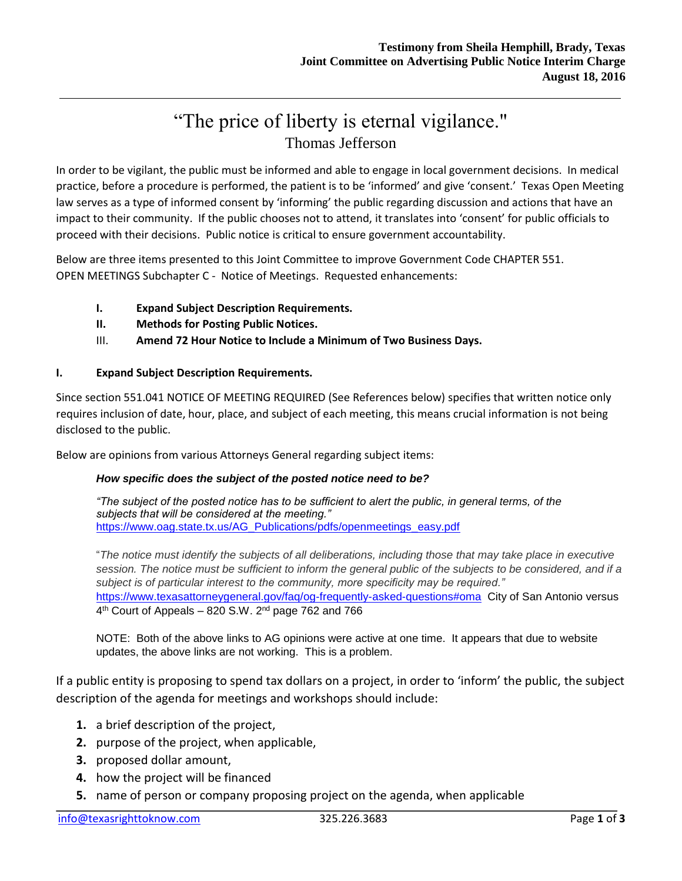# "The price of liberty is eternal vigilance." Thomas Jefferson

In order to be vigilant, the public must be informed and able to engage in local government decisions. In medical practice, before a procedure is performed, the patient is to be 'informed' and give 'consent.' Texas Open Meeting law serves as a type of informed consent by 'informing' the public regarding discussion and actions that have an impact to their community. If the public chooses not to attend, it translates into 'consent' for public officials to proceed with their decisions. Public notice is critical to ensure government accountability.

Below are three items presented to this Joint Committee to improve Government Code CHAPTER 551. OPEN MEETINGS Subchapter C - Notice of Meetings. Requested enhancements:

- **I. Expand Subject Description Requirements.**
- **II. Methods for Posting Public Notices.**
- III. **Amend 72 Hour Notice to Include a Minimum of Two Business Days.**

### **I. Expand Subject Description Requirements.**

Since section 551.041 NOTICE OF MEETING REQUIRED (See References below) specifies that written notice only requires inclusion of date, hour, place, and subject of each meeting, this means crucial information is not being disclosed to the public.

Below are opinions from various Attorneys General regarding subject items:

### *How specific does the subject of the posted notice need to be?*

*"The subject of the posted notice has to be sufficient to alert the public, in general terms, of the subjects that will be considered at the meeting."*  [https://www.oag.state.tx.us/AG\\_Publications/pdfs/openmeetings\\_easy.pdf](https://www.oag.state.tx.us/AG_Publications/pdfs/openmeetings_easy.pdf)

"*The notice must identify the subjects of all deliberations, including those that may take place in executive session. The notice must be sufficient to inform the general public of the subjects to be considered, and if a subject is of particular interest to the community, more specificity may be required."* <https://www.texasattorneygeneral.gov/faq/og-frequently-asked-questions#oma> City of San Antonio versus 4<sup>th</sup> Court of Appeals – 820 S.W. 2<sup>nd</sup> page 762 and 766

NOTE: Both of the above links to AG opinions were active at one time. It appears that due to website updates, the above links are not working. This is a problem.

If a public entity is proposing to spend tax dollars on a project, in order to 'inform' the public, the subject description of the agenda for meetings and workshops should include:

- **1.** a brief description of the project,
- **2.** purpose of the project, when applicable,
- **3.** proposed dollar amount,
- **4.** how the project will be financed
- **5.** name of person or company proposing project on the agenda, when applicable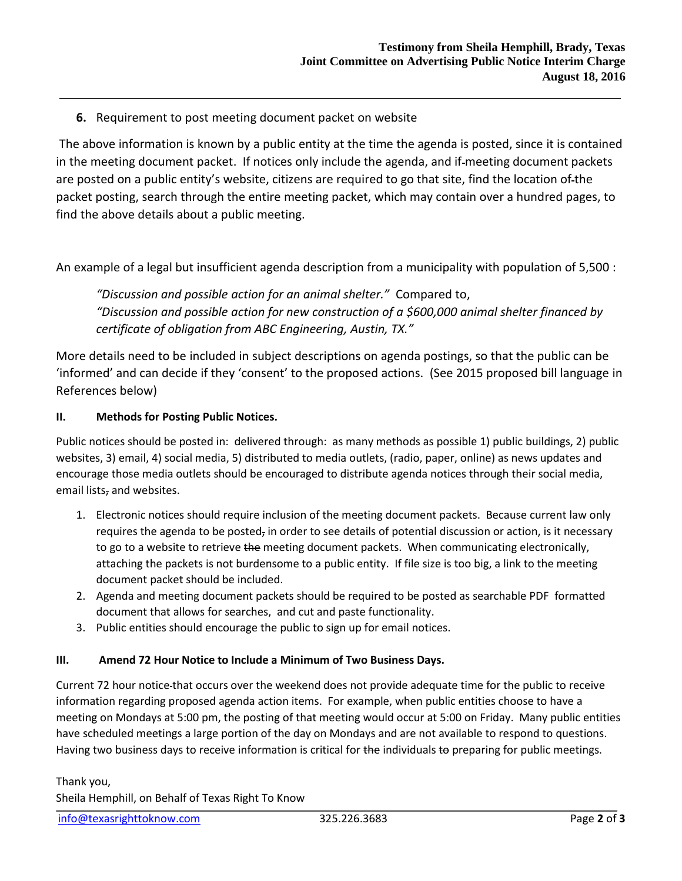**6.** Requirement to post meeting document packet on website

The above information is known by a public entity at the time the agenda is posted, since it is contained in the meeting document packet. If notices only include the agenda, and if meeting document packets are posted on a public entity's website, citizens are required to go that site, find the location of the packet posting, search through the entire meeting packet, which may contain over a hundred pages, to find the above details about a public meeting.

An example of a legal but insufficient agenda description from a municipality with population of 5,500 :

*"Discussion and possible action for an animal shelter."* Compared to, *"Discussion and possible action for new construction of a \$600,000 animal shelter financed by certificate of obligation from ABC Engineering, Austin, TX."*

More details need to be included in subject descriptions on agenda postings, so that the public can be 'informed' and can decide if they 'consent' to the proposed actions. (See 2015 proposed bill language in References below)

### **II. Methods for Posting Public Notices.**

Public notices should be posted in: delivered through: as many methods as possible 1) public buildings, 2) public websites, 3) email, 4) social media, 5) distributed to media outlets, (radio, paper, online) as news updates and encourage those media outlets should be encouraged to distribute agenda notices through their social media, email lists, and websites.

- 1. Electronic notices should require inclusion of the meeting document packets. Because current law only requires the agenda to be posted, in order to see details of potential discussion or action, is it necessary to go to a website to retrieve the meeting document packets. When communicating electronically, attaching the packets is not burdensome to a public entity. If file size is too big, a link to the meeting document packet should be included.
- 2. Agenda and meeting document packets should be required to be posted as searchable PDF formatted document that allows for searches, and cut and paste functionality.
- 3. Public entities should encourage the public to sign up for email notices.

## **III. Amend 72 Hour Notice to Include a Minimum of Two Business Days.**

Current 72 hour notice that occurs over the weekend does not provide adequate time for the public to receive information regarding proposed agenda action items. For example, when public entities choose to have a meeting on Mondays at 5:00 pm, the posting of that meeting would occur at 5:00 on Friday. Many public entities have scheduled meetings a large portion of the day on Mondays and are not available to respond to questions. Having two business days to receive information is critical for the individuals to preparing for public meetings.

Thank you, Sheila Hemphill, on Behalf of Texas Right To Know